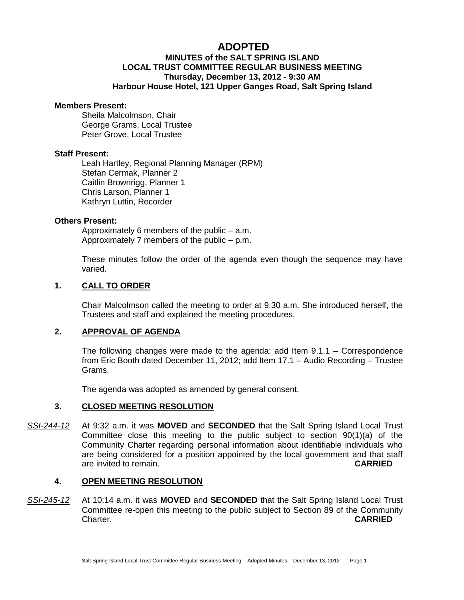# **ADOPTED**

# **MINUTES of the SALT SPRING ISLAND LOCAL TRUST COMMITTEE REGULAR BUSINESS MEETING Thursday, December 13, 2012 - 9:30 AM Harbour House Hotel, 121 Upper Ganges Road, Salt Spring Island**

#### **Members Present:**

Sheila Malcolmson, Chair George Grams, Local Trustee Peter Grove, Local Trustee

#### **Staff Present:**

Leah Hartley, Regional Planning Manager (RPM) Stefan Cermak, Planner 2 Caitlin Brownrigg, Planner 1 Chris Larson, Planner 1 Kathryn Luttin, Recorder

#### **Others Present:**

Approximately 6 members of the public – a.m. Approximately 7 members of the public – p.m.

These minutes follow the order of the agenda even though the sequence may have varied.

# **1. CALL TO ORDER**

Chair Malcolmson called the meeting to order at 9:30 a.m. She introduced herself, the Trustees and staff and explained the meeting procedures.

# **2. APPROVAL OF AGENDA**

The following changes were made to the agenda: add Item 9.1.1 – Correspondence from Eric Booth dated December 11, 2012; add Item 17.1 – Audio Recording – Trustee Grams.

The agenda was adopted as amended by general consent.

# **3. CLOSED MEETING RESOLUTION**

*SSI-244-12* At 9:32 a.m. it was **MOVED** and **SECONDED** that the Salt Spring Island Local Trust Committee close this meeting to the public subject to section 90(1)(a) of the Community Charter regarding personal information about identifiable individuals who are being considered for a position appointed by the local government and that staff are invited to remain. **CARRIED**

# **4. OPEN MEETING RESOLUTION**

*SSI-245-12* At 10:14 a.m. it was **MOVED** and **SECONDED** that the Salt Spring Island Local Trust Committee re-open this meeting to the public subject to Section 89 of the Community Charter. **CARRIED**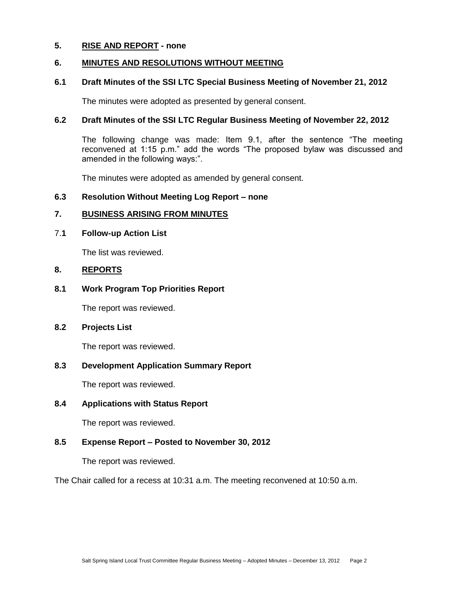# **5. RISE AND REPORT - none**

# **6. MINUTES AND RESOLUTIONS WITHOUT MEETING**

# **6.1 Draft Minutes of the SSI LTC Special Business Meeting of November 21, 2012**

The minutes were adopted as presented by general consent.

# **6.2 Draft Minutes of the SSI LTC Regular Business Meeting of November 22, 2012**

The following change was made: Item 9.1, after the sentence "The meeting reconvened at 1:15 p.m." add the words "The proposed bylaw was discussed and amended in the following ways:".

The minutes were adopted as amended by general consent.

# **6.3 Resolution Without Meeting Log Report – none**

# **7. BUSINESS ARISING FROM MINUTES**

# 7.**1 Follow-up Action List**

The list was reviewed.

# **8. REPORTS**

# **8.1 Work Program Top Priorities Report**

The report was reviewed.

# **8.2 Projects List**

The report was reviewed.

# **8.3 Development Application Summary Report**

The report was reviewed.

# **8.4 Applications with Status Report**

The report was reviewed.

# **8.5 Expense Report – Posted to November 30, 2012**

The report was reviewed.

The Chair called for a recess at 10:31 a.m. The meeting reconvened at 10:50 a.m.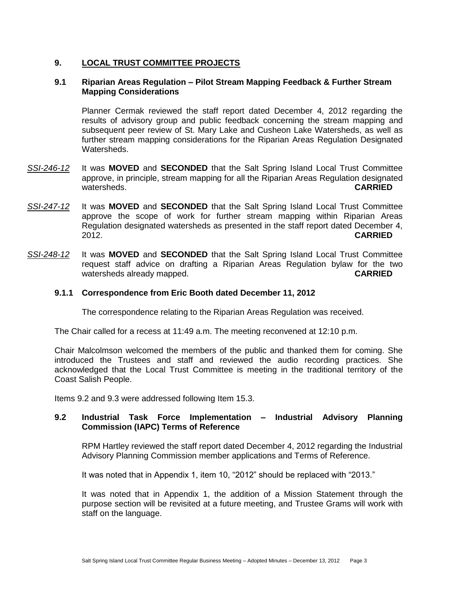# **9. LOCAL TRUST COMMITTEE PROJECTS**

# **9.1 Riparian Areas Regulation – Pilot Stream Mapping Feedback & Further Stream Mapping Considerations**

Planner Cermak reviewed the staff report dated December 4, 2012 regarding the results of advisory group and public feedback concerning the stream mapping and subsequent peer review of St. Mary Lake and Cusheon Lake Watersheds, as well as further stream mapping considerations for the Riparian Areas Regulation Designated Watersheds.

- *SSI-246-12* It was **MOVED** and **SECONDED** that the Salt Spring Island Local Trust Committee approve, in principle, stream mapping for all the Riparian Areas Regulation designated watersheds. **CARRIED**
- *SSI-247-12* It was **MOVED** and **SECONDED** that the Salt Spring Island Local Trust Committee approve the scope of work for further stream mapping within Riparian Areas Regulation designated watersheds as presented in the staff report dated December 4, 2012. **CARRIED**
- *SSI-248-12* It was **MOVED** and **SECONDED** that the Salt Spring Island Local Trust Committee request staff advice on drafting a Riparian Areas Regulation bylaw for the two watersheds already mapped. **CARRIED**

#### **9.1.1 Correspondence from Eric Booth dated December 11, 2012**

The correspondence relating to the Riparian Areas Regulation was received.

The Chair called for a recess at 11:49 a.m. The meeting reconvened at 12:10 p.m.

Chair Malcolmson welcomed the members of the public and thanked them for coming. She introduced the Trustees and staff and reviewed the audio recording practices. She acknowledged that the Local Trust Committee is meeting in the traditional territory of the Coast Salish People.

Items 9.2 and 9.3 were addressed following Item 15.3.

# **9.2 Industrial Task Force Implementation – Industrial Advisory Planning Commission (IAPC) Terms of Reference**

RPM Hartley reviewed the staff report dated December 4, 2012 regarding the Industrial Advisory Planning Commission member applications and Terms of Reference.

It was noted that in Appendix 1, item 10, "2012" should be replaced with "2013."

It was noted that in Appendix 1, the addition of a Mission Statement through the purpose section will be revisited at a future meeting, and Trustee Grams will work with staff on the language.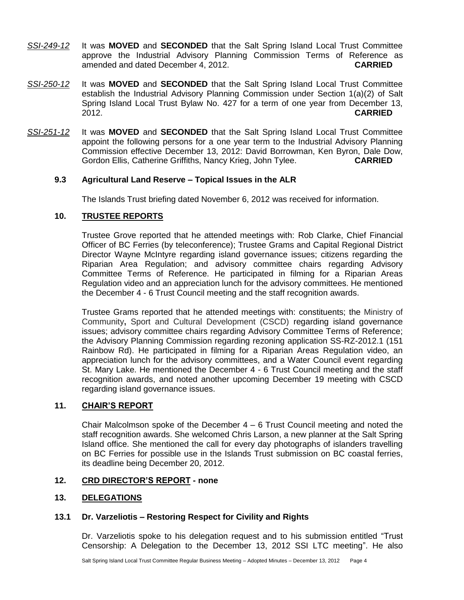- *SSI-249-12* It was **MOVED** and **SECONDED** that the Salt Spring Island Local Trust Committee approve the Industrial Advisory Planning Commission Terms of Reference as amended and dated December 4, 2012. **CARRIED**
- *SSI-250-12* It was **MOVED** and **SECONDED** that the Salt Spring Island Local Trust Committee establish the Industrial Advisory Planning Commission under Section 1(a)(2) of Salt Spring Island Local Trust Bylaw No. 427 for a term of one year from December 13, 2012. **CARRIED**
- *SSI-251-12* It was **MOVED** and **SECONDED** that the Salt Spring Island Local Trust Committee appoint the following persons for a one year term to the Industrial Advisory Planning Commission effective December 13, 2012: David Borrowman, Ken Byron, Dale Dow, Gordon Ellis, Catherine Griffiths, Nancy Krieg, John Tylee. **CARRIED**

# **9.3 Agricultural Land Reserve – Topical Issues in the ALR**

The Islands Trust briefing dated November 6, 2012 was received for information.

# **10. TRUSTEE REPORTS**

Trustee Grove reported that he attended meetings with: Rob Clarke, Chief Financial Officer of BC Ferries (by teleconference); Trustee Grams and Capital Regional District Director Wayne McIntyre regarding island governance issues; citizens regarding the Riparian Area Regulation; and advisory committee chairs regarding Advisory Committee Terms of Reference. He participated in filming for a Riparian Areas Regulation video and an appreciation lunch for the advisory committees. He mentioned the December 4 - 6 Trust Council meeting and the staff recognition awards.

Trustee Grams reported that he attended meetings with: constituents; the Ministry of Community**,** Sport and Cultural Development (CSCD) regarding island governance issues; advisory committee chairs regarding Advisory Committee Terms of Reference; the Advisory Planning Commission regarding rezoning application SS-RZ-2012.1 (151 Rainbow Rd). He participated in filming for a Riparian Areas Regulation video, an appreciation lunch for the advisory committees, and a Water Council event regarding St. Mary Lake. He mentioned the December 4 - 6 Trust Council meeting and the staff recognition awards, and noted another upcoming December 19 meeting with CSCD regarding island governance issues.

# **11. CHAIR'S REPORT**

Chair Malcolmson spoke of the December 4 – 6 Trust Council meeting and noted the staff recognition awards. She welcomed Chris Larson, a new planner at the Salt Spring Island office. She mentioned the call for every day photographs of islanders travelling on BC Ferries for possible use in the Islands Trust submission on BC coastal ferries, its deadline being December 20, 2012.

# **12. CRD DIRECTOR'S REPORT - none**

# **13. DELEGATIONS**

# **13.1 Dr. Varzeliotis – Restoring Respect for Civility and Rights**

Dr. Varzeliotis spoke to his delegation request and to his submission entitled "Trust Censorship: A Delegation to the December 13, 2012 SSI LTC meeting". He also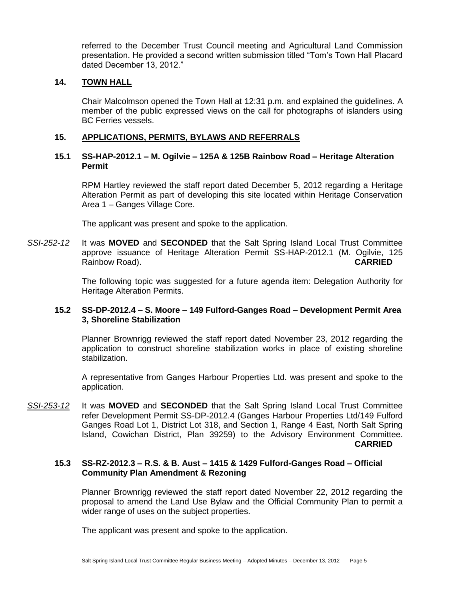referred to the December Trust Council meeting and Agricultural Land Commission presentation. He provided a second written submission titled "Tom's Town Hall Placard dated December 13, 2012."

# **14. TOWN HALL**

Chair Malcolmson opened the Town Hall at 12:31 p.m. and explained the guidelines. A member of the public expressed views on the call for photographs of islanders using BC Ferries vessels.

# **15. APPLICATIONS, PERMITS, BYLAWS AND REFERRALS**

# **15.1 SS-HAP-2012.1 – M. Ogilvie – 125A & 125B Rainbow Road – Heritage Alteration Permit**

RPM Hartley reviewed the staff report dated December 5, 2012 regarding a Heritage Alteration Permit as part of developing this site located within Heritage Conservation Area 1 – Ganges Village Core.

The applicant was present and spoke to the application.

*SSI-252-12* It was **MOVED** and **SECONDED** that the Salt Spring Island Local Trust Committee approve issuance of Heritage Alteration Permit SS-HAP-2012.1 (M. Ogilvie, 125 Rainbow Road). **CARRIED**

> The following topic was suggested for a future agenda item: Delegation Authority for Heritage Alteration Permits.

# **15.2 SS-DP-2012.4 – S. Moore – 149 Fulford-Ganges Road – Development Permit Area 3, Shoreline Stabilization**

Planner Brownrigg reviewed the staff report dated November 23, 2012 regarding the application to construct shoreline stabilization works in place of existing shoreline stabilization.

A representative from Ganges Harbour Properties Ltd. was present and spoke to the application.

*SSI-253-12* It was **MOVED** and **SECONDED** that the Salt Spring Island Local Trust Committee refer Development Permit SS-DP-2012.4 (Ganges Harbour Properties Ltd/149 Fulford Ganges Road Lot 1, District Lot 318, and Section 1, Range 4 East, North Salt Spring Island, Cowichan District, Plan 39259) to the Advisory Environment Committee. **CARRIED**

#### **15.3 SS-RZ-2012.3 – R.S. & B. Aust – 1415 & 1429 Fulford-Ganges Road – Official Community Plan Amendment & Rezoning**

Planner Brownrigg reviewed the staff report dated November 22, 2012 regarding the proposal to amend the Land Use Bylaw and the Official Community Plan to permit a wider range of uses on the subject properties.

The applicant was present and spoke to the application.